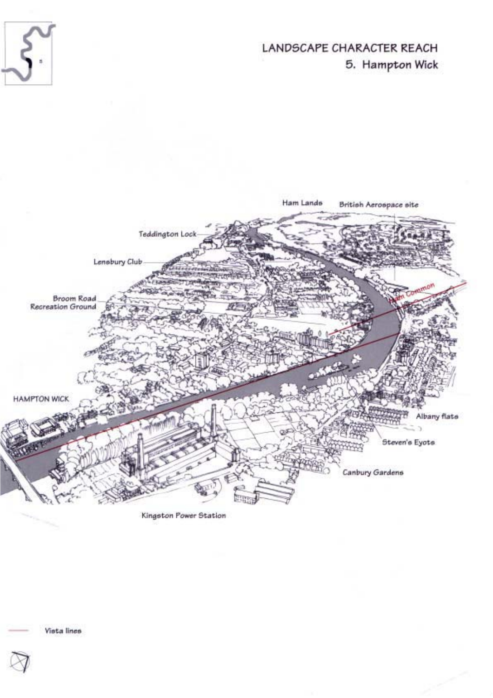# LANDSCAPE CHARACTER REACH 5. Hampton Wick





Kingston Power Station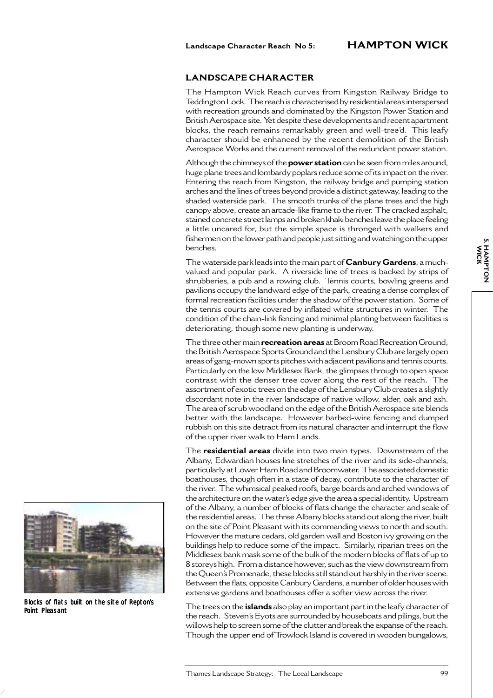### **LANDSCAPE CHARACTER**

The Hampton Wick Reach curves from Kingston Railway Bridge to Teddington Lock. The reach is characterised by residential areas interspersed with recreation grounds and dominated by the Kingston Power Station and British Aerospace site. Yet despite these developments and recent apartment blocks, the reach remains remarkably green and well-tree'd. This leafy character should be enhanced by the recent demolition of the British Aerospace Works and the current removal of the redundant power station.

Although the chimneys of the **power station** can be seen from miles around, huge plane trees and lombardy poplars reduce some of its impact on the river. Entering the reach from Kingston, the railway bridge and pumping station arches and the lines of trees beyond provide a distinct gateway, leading to the shaded waterside park. The smooth trunks of the plane trees and the high canopy above, create an arcade-like frame to the river. The cracked asphalt, stained concrete street lamps and broken khaki benches leave the place feeling a little uncared for, but the simple space is thronged with walkers and fishermen on the lower path and people just sitting and watching on the upper benches.

The waterside park leads into the main part of **Canbury Gardens**, a muchvalued and popular park. A riverside line of trees is backed by strips of shrubberies, a pub and a rowing club. Tennis courts, bowling greens and pavilions occupy the landward edge of the park, creating a dense complex of formal recreation facilities under the shadow of the power station. Some of the tennis courts are covered by inflated white structures in winter. The condition of the chain-link fencing and minimal planting between facilities is deteriorating, though some new planting is underway.

The three other main **recreation areas** at Broom Road Recreation Ground, the British Aerospace Sports Ground and the Lensbury Club are largely open areas of gang-mown sports pitches with adjacent pavilions and tennis courts. Particularly on the low Middlesex Bank, the glimpses through to open space contrast with the denser tree cover along the rest of the reach. The assortment of exotic trees on the edge of the Lensbury Club creates a slightly discordant note in the river landscape of native willow, alder, oak and ash. The area of scrub woodland on the edge of the British Aerospace site blends better with the landscape. However barbed-wire fencing and dumped rubbish on this site detract from its natural character and interrupt the flow of the upper river walk to Ham Lands.

The **residential areas** divide into two main types. Downstream of the Albany, Edwardian houses line stretches of the river and its side-channels, particularly at Lower Ham Road and Broomwater. The associated domestic boathouses, though often in a state of decay, contribute to the character of the river. The whimsical peaked roofs, barge boards and arched windows of the architecture on the water's edge give the area a special identity. Upstream of the Albany, a number of blocks of flats change the character and scale of the residential areas. The three Albany blocks stand out along the river, built on the site of Point Pleasant with its commanding views to north and south. However the mature cedars, old garden wall and Boston ivy growing on the buildings help to reduce some of the impact. Similarly, riparian trees on the Middlesex bank mask some of the bulk of the modern blocks of flats of up to 8 storeys high. From a distance however, such as the view downstream from the Queen's Promenade, these blocks still stand out harshly in the river scene. Between the flats, opposite Canbury Gardens, a number of older houses with extensive gardens and boathouses offer a softer view across the river.

The trees on the **islands** also play an important part in the leafy character of the reach. Steven's Eyots are surrounded by houseboats and pilings, but the willows help to screen some of the clutter and break the expanse of the reach. Though the upper end of Trowlock Island is covered in wooden bungalows,



Blocks of flats built on the site of Repton's Point Pleasant

**5. HAMPTON 5. HAMPTON**<br>WICK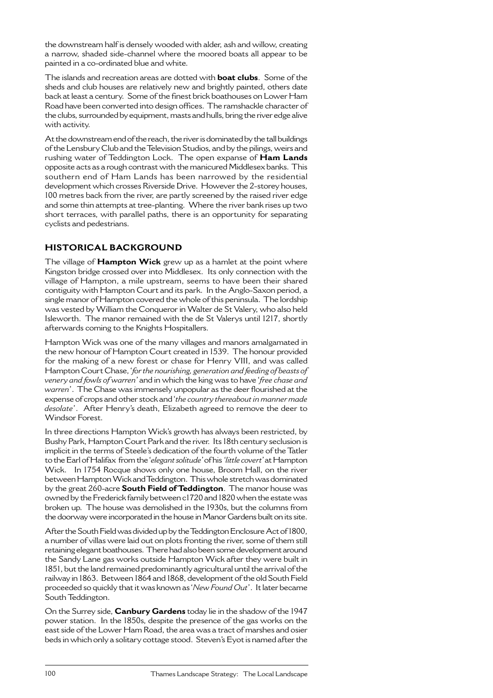the downstream half is densely wooded with alder, ash and willow, creating a narrow, shaded side-channel where the moored boats all appear to be painted in a co-ordinated blue and white.

The islands and recreation areas are dotted with **boat clubs**. Some of the sheds and club houses are relatively new and brightly painted, others date back at least a century. Some of the finest brick boathouses on Lower Ham Road have been converted into design offices. The ramshackle character of the clubs, surrounded by equipment, masts and hulls, bring the river edge alive with activity.

At the downstream end of the reach, the river is dominated by the tall buildings of the Lensbury Club and the Television Studios, and by the pilings, weirs and rushing water of Teddington Lock. The open expanse of **Ham Lands** opposite acts as a rough contrast with the manicured Middlesex banks. This southern end of Ham Lands has been narrowed by the residential development which crosses Riverside Drive. However the 2-storey houses, 100 metres back from the river, are partly screened by the raised river edge and some thin attempts at tree-planting. Where the river bank rises up two short terraces, with parallel paths, there is an opportunity for separating cyclists and pedestrians.

# **HISTORICAL BACKGROUND**

The village of **Hampton Wick** grew up as a hamlet at the point where Kingston bridge crossed over into Middlesex. Its only connection with the village of Hampton, a mile upstream, seems to have been their shared contiguity with Hampton Court and its park. In the Anglo-Saxon period, a single manor of Hampton covered the whole of this peninsula. The lordship was vested by William the Conqueror in Walter de St Valery, who also held Isleworth. The manor remained with the de St Valerys until 1217, shortly afterwards coming to the Knights Hospitallers.

Hampton Wick was one of the many villages and manors amalgamated in the new honour of Hampton Court created in 1539. The honour provided for the making of a new forest or chase for Henry VIII, and was called Hampton Court Chase, '*for the nourishing, generation and feeding of beasts of venery and fowls of warren*' and in which the king was to have '*free chase and warren*'. The Chase was immensely unpopular as the deer flourished at the expense of crops and other stock and '*the country thereabout in manner made desolate*'. After Henry's death, Elizabeth agreed to remove the deer to Windsor Forest.

In three directions Hampton Wick's growth has always been restricted, by Bushy Park, Hampton Court Park and the river. Its 18th century seclusion is implicit in the terms of Steele's dedication of the fourth volume of the Tatler to the Earl of Halifax from the '*elegant solitude*' of his *'little covert*' at Hampton Wick. In 1754 Rocque shows only one house, Broom Hall, on the river between Hampton Wick and Teddington. This whole stretch was dominated by the great 260-acre **South Field of Teddington**. The manor house was owned by the Frederick family between c1720 and 1820 when the estate was broken up. The house was demolished in the 1930s, but the columns from the doorway were incorporated in the house in Manor Gardens built on its site.

After the South Field was divided up by the Teddington Enclosure Act of 1800, a number of villas were laid out on plots fronting the river, some of them still retaining elegant boathouses. There had also been some development around the Sandy Lane gas works outside Hampton Wick after they were built in 1851, but the land remained predominantly agricultural until the arrival of the railway in 1863. Between 1864 and 1868, development of the old South Field proceeded so quickly that it was known as '*New Found Out*'. It later became South Teddington.

On the Surrey side, **Canbury Gardens** today lie in the shadow of the 1947 power station. In the 1850s, despite the presence of the gas works on the east side of the Lower Ham Road, the area was a tract of marshes and osier beds in which only a solitary cottage stood. Steven's Eyot is named after the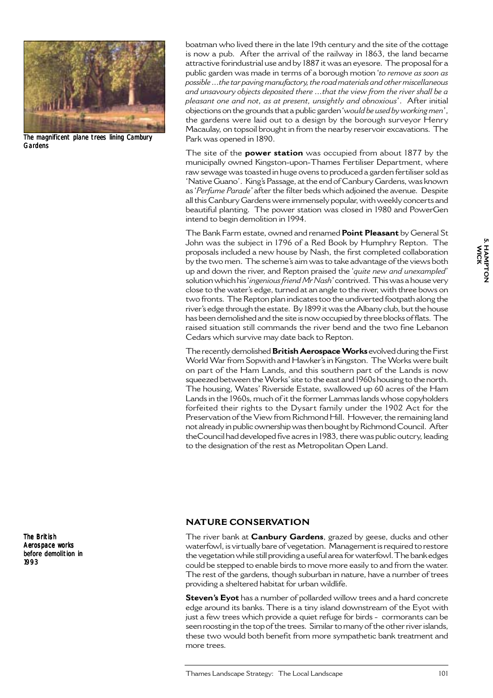

The magnificent plane trees lining Cambury Gardens

boatman who lived there in the late 19th century and the site of the cottage is now a pub. After the arrival of the railway in 1863, the land became attractive forindustrial use and by 1887 it was an eyesore. The proposal for a public garden was made in terms of a borough motion '*to remove as soon as possible ...the tar paving manufactory, the road materials and other miscellaneous and unsavoury objects deposited there ...that the view from the river shall be a pleasant one and not, as at present, unsightly and obnoxious*'. After initial objections on the grounds that a public garden '*would be used by working men*', the gardens were laid out to a design by the borough surveyor Henry Macaulay, on topsoil brought in from the nearby reservoir excavations. The Park was opened in 1890.

The site of the **power station** was occupied from about 1877 by the municipally owned Kingston-upon-Thames Fertiliser Department, where raw sewage was toasted in huge ovens to produced a garden fertiliser sold as 'Native Guano'. King's Passage, at the end of Canbury Gardens, was known as '*Perfume Parade*' after the filter beds which adjoined the avenue. Despite all this Canbury Gardens were immensely popular, with weekly concerts and beautiful planting. The power station was closed in 1980 and PowerGen intend to begin demolition in 1994.

The Bank Farm estate, owned and renamed **Point Pleasant** by General St John was the subject in 1796 of a Red Book by Humphry Repton. The proposals included a new house by Nash, the first completed collaboration by the two men. The scheme's aim was to take advantage of the views both up and down the river, and Repton praised the '*quite new and unexampled*' solution which his '*ingenious friend Mr Nash*' contrived. This was a house very close to the water's edge, turned at an angle to the river, with three bows on two fronts. The Repton plan indicates too the undiverted footpath along the river's edge through the estate. By 1899 it was the Albany club, but the house has been demolished and the site is now occupied by three blocks of flats. The raised situation still commands the river bend and the two fine Lebanon Cedars which survive may date back to Repton.

The recently demolished **British Aerospace Works** evolved during the First World War from Sopwith and Hawker's in Kingston. The Works were built on part of the Ham Lands, and this southern part of the Lands is now squeezed between the Works' site to the east and 1960s housing to the north. The housing, Wates' Riverside Estate, swallowed up 60 acres of the Ham Lands in the 1960s, much of it the former Lammas lands whose copyholders forfeited their rights to the Dysart family under the 1902 Act for the Preservation of the View from Richmond Hill. However, the remaining land not already in public ownership was then bought by Richmond Council. After theCouncil had developed five acres in 1983, there was public outcry, leading to the designation of the rest as Metropolitan Open Land.

## **NATURE CONSERVATION**

The river bank at **Canbury Gardens**, grazed by geese, ducks and other waterfowl, is virtually bare of vegetation. Management is required to restore the vegetation while still providing a useful area for waterfowl. The bank edges could be stepped to enable birds to move more easily to and from the water. The rest of the gardens, though suburban in nature, have a number of trees providing a sheltered habitat for urban wildlife.

**Steven's Eyot** has a number of pollarded willow trees and a hard concrete edge around its banks. There is a tiny island downstream of the Eyot with just a few trees which provide a quiet refuge for birds - cormorants can be seen roosting in the top of the trees. Similar to many of the other river islands, these two would both benefit from more sympathetic bank treatment and more trees.

**5. HAMPTON 5. HAMPTON**<br>WICK

The British Aerospace works before demolition in 1993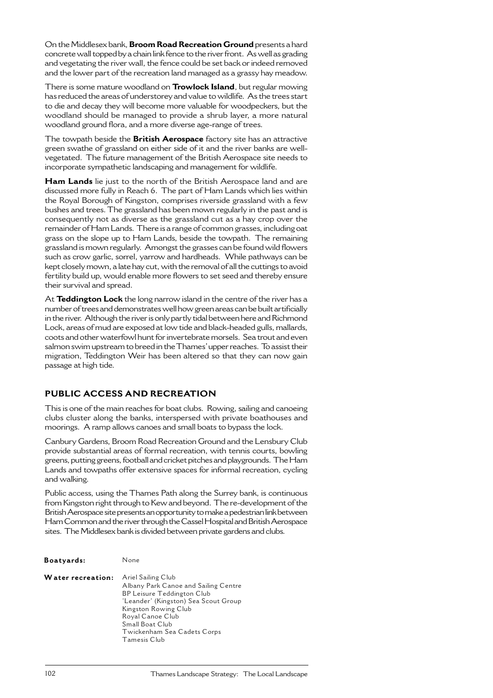On the Middlesex bank, **Broom Road Recreation Ground** presents a hard concrete wall topped by a chain link fence to the river front. As well as grading and vegetating the river wall, the fence could be set back or indeed removed and the lower part of the recreation land managed as a grassy hay meadow.

There is some mature woodland on **Trowlock Island**, but regular mowing has reduced the areas of understorey and value to wildlife. As the trees start to die and decay they will become more valuable for woodpeckers, but the woodland should be managed to provide a shrub layer, a more natural woodland ground flora, and a more diverse age-range of trees.

The towpath beside the **British Aerospace** factory site has an attractive green swathe of grassland on either side of it and the river banks are wellvegetated. The future management of the British Aerospace site needs to incorporate sympathetic landscaping and management for wildlife.

**Ham Lands** lie just to the north of the British Aerospace land and are discussed more fully in Reach 6. The part of Ham Lands which lies within the Royal Borough of Kingston, comprises riverside grassland with a few bushes and trees. The grassland has been mown regularly in the past and is consequently not as diverse as the grassland cut as a hay crop over the remainder of Ham Lands. There is a range of common grasses, including oat grass on the slope up to Ham Lands, beside the towpath. The remaining grassland is mown regularly. Amongst the grasses can be found wild flowers such as crow garlic, sorrel, yarrow and hardheads. While pathways can be kept closely mown, a late hay cut, with the removal of all the cuttings to avoid fertility build up, would enable more flowers to set seed and thereby ensure their survival and spread.

At **Teddington Lock** the long narrow island in the centre of the river has a number of trees and demonstrates well how green areas can be built artificially in the river. Although the river is only partly tidal between here and Richmond Lock, areas of mud are exposed at low tide and black-headed gulls, mallards, coots and other waterfowl hunt for invertebrate morsels. Sea trout and even salmon swim upstream to breed in the Thames' upper reaches. To assist their migration, Teddington Weir has been altered so that they can now gain passage at high tide.

## **PUBLIC ACCESS AND RECREATION**

This is one of the main reaches for boat clubs. Rowing, sailing and canoeing clubs cluster along the banks, interspersed with private boathouses and moorings. A ramp allows canoes and small boats to bypass the lock.

Canbury Gardens, Broom Road Recreation Ground and the Lensbury Club provide substantial areas of formal recreation, with tennis courts, bowling greens, putting greens, football and cricket pitches and playgrounds. The Ham Lands and towpaths offer extensive spaces for informal recreation, cycling and walking.

Public access, using the Thames Path along the Surrey bank, is continuous from Kingston right through to Kew and beyond. The re-development of the British Aerospace site presents an opportunity to make a pedestrian link between Ham Common and the river through the Cassel Hospital and British Aerospace sites. The Middlesex bank is divided between private gardens and clubs.

**Boatyards:** None

| Water recreation: | Ariel Sailing Club<br>Albany Park Canoe and Sailing Centre<br>BP Leisure Teddington Club<br>'Leander' (Kingston) Sea Scout Group<br>Kingston Rowing Club<br>Royal Canoe Club<br>Small Boat Club<br>Twickenham Sea Cadets Corps<br>Tamesis Club |
|-------------------|------------------------------------------------------------------------------------------------------------------------------------------------------------------------------------------------------------------------------------------------|
|                   |                                                                                                                                                                                                                                                |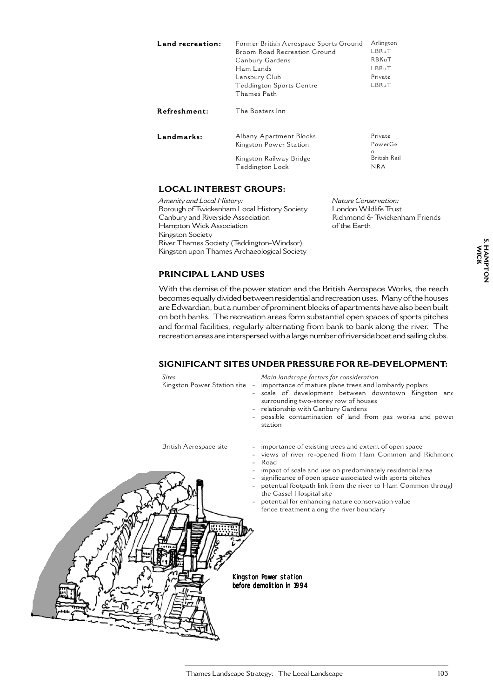| Land recreation: | Former British Aerospace Sports Ground<br>Broom Road Recreation Ground<br>Canbury Gardens<br>Ham Lands<br>Lensbury Club<br>Teddington Sports Centre<br>Thames Path | Arlington<br>LBR <sub>U</sub> T<br>RBKuT<br>LBRuT<br>Private<br>LBRuT |
|------------------|--------------------------------------------------------------------------------------------------------------------------------------------------------------------|-----------------------------------------------------------------------|
| Refreshment:     | The Boaters Inn                                                                                                                                                    |                                                                       |
| Landmarks:       | Albany Apartment Blocks<br>Kingston Power Station<br>Kingston Railway Bridge<br>Teddington Lock                                                                    | Private<br>PowerGe<br>n<br><b>British Rail</b><br>NRA                 |

### **LOCAL INTEREST GROUPS:**

*Amenity and Local History:* Borough of Twickenham Local History Society Canbury and Riverside Association Hampton Wick Association Kingston Society River Thames Society (Teddington-Windsor) Kingston upon Thames Archaeological Society

*Nature Conservation:* London Wildlife Trust Richmond & Twickenham Friends of the Earth

#### **PRINCIPAL LAND USES**

With the demise of the power station and the British Aerospace Works, the reach becomes equally divided between residential and recreation uses. Many of the houses are Edwardian, but a number of prominent blocks of apartments have also been built on both banks. The recreation areas form substantial open spaces of sports pitches and formal facilities, regularly alternating from bank to bank along the river. The recreation areas are interspersed with a large number of riverside boat and sailing clubs.

#### **SIGNIFICANT SITES UNDER PRESSURE FOR RE-DEVELOPMENT:**

*Sites Main landscape factors for consideration*

- Kingston Power Station site importance of mature plane trees and lombardy poplars
	- scale of development between downtown Kingston and surrounding two-storey row of houses
	- relationship with Canbury Gardens
	- possible contamination of land from gas works and power station

British Aerospace site -

importance of existing trees and extent of open space

- views of river re-opened from Ham Common and Richmond Road
- impact of scale and use on predominately residential area
- significance of open space associated with sports pitches
- potential footpath link from the river to Ham Common through the Cassel Hospital site
- potential for enhancing nature conservation value fence treatment along the river boundary

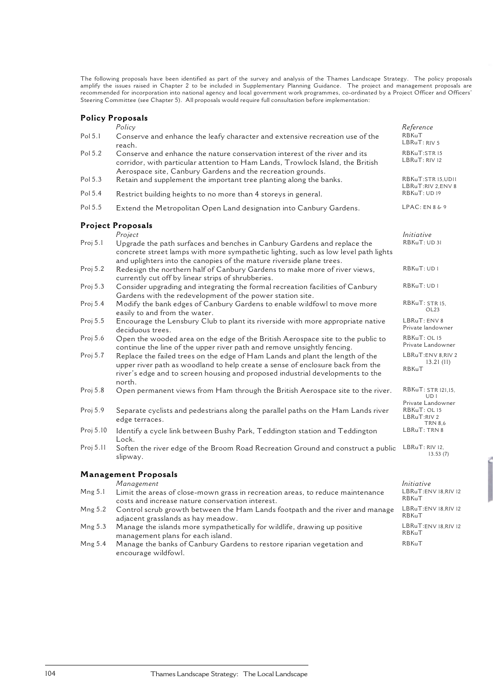The following proposals have been identified as part of the survey and analysis of the Thames Landscape Strategy. The policy proposals amplify the issues raised in Chapter 2 to be included in Supplementary Planning Guidance. The project and management proposals are recommended for incorporation into national agency and local government work programmes, co-ordinated by a Project Officer and Officers' Steering Committee (see Chapter 5). All proposals would require full consultation before implementation:

# **Policy Proposals**

| Pol 5.1    | Policy<br>Conserve and enhance the leafy character and extensive recreation use of the<br>reach.                                                                                                                                                            | Reference<br>RBKuT<br>LBRuT: RIV 5                                 |
|------------|-------------------------------------------------------------------------------------------------------------------------------------------------------------------------------------------------------------------------------------------------------------|--------------------------------------------------------------------|
| Pol 5.2    | Conserve and enhance the nature conservation interest of the river and its<br>corridor, with particular attention to Ham Lands, Trowlock Island, the British<br>Aerospace site, Canbury Gardens and the recreation grounds.                                 | RBKuT:STR15<br>LBRuT: RIV 12                                       |
| Pol 5.3    | Retain and supplement the important tree planting along the banks.                                                                                                                                                                                          | RBKuT:STR 15, UD11<br>LBRuT:RIV 2,ENV 8                            |
| Pol 5.4    | Restrict building heights to no more than 4 storeys in general.                                                                                                                                                                                             | RBKuT: UD19                                                        |
| Pol 5.5    | Extend the Metropolitan Open Land designation into Canbury Gardens.                                                                                                                                                                                         | LPAC: EN 8 & 9                                                     |
|            | <b>Project Proposals</b>                                                                                                                                                                                                                                    |                                                                    |
| Proj 5.1   | Project<br>Upgrade the path surfaces and benches in Canbury Gardens and replace the<br>concrete street lamps with more sympathetic lighting, such as low level path lights<br>and uplighters into the canopies of the mature riverside plane trees.         | Initiative<br>RBKuT: UD 31                                         |
| Proj $5.2$ | Redesign the northern half of Canbury Gardens to make more of river views,<br>currently cut off by linear strips of shrubberies.                                                                                                                            | RBKuT: UD 1                                                        |
| Proj $5.3$ | Consider upgrading and integrating the formal recreation facilities of Canbury<br>Gardens with the redevelopment of the power station site.                                                                                                                 | RBKuT: UD 1                                                        |
| Proj 5.4   | Modify the bank edges of Canbury Gardens to enable wildfowl to move more<br>easily to and from the water.                                                                                                                                                   | RBKuT: STR 15,<br>OL <sub>23</sub>                                 |
| Proj $5.5$ | Encourage the Lensbury Club to plant its riverside with more appropriate native<br>deciduous trees.                                                                                                                                                         | LBRuT: ENV 8<br>Private landowner                                  |
| Proj 5.6   | Open the wooded area on the edge of the British Aerospace site to the public to<br>continue the line of the upper river path and remove unsightly fencing.                                                                                                  | RBKuT: OL 15<br>Private Landowner                                  |
| Proj 5.7   | Replace the failed trees on the edge of Ham Lands and plant the length of the<br>upper river path as woodland to help create a sense of enclosure back from the<br>river's edge and to screen housing and proposed industrial developments to the<br>north. | LBRuT:ENV 8,RIV 2<br>13.21(11)<br>RBKuT                            |
| Proj 5.8   | Open permanent views from Ham through the British Aerospace site to the river.                                                                                                                                                                              | RBKuT: STR 121,15,<br>UD 1                                         |
| Proj 5.9   | Separate cyclists and pedestrians along the parallel paths on the Ham Lands river<br>edge terraces.                                                                                                                                                         | Private Landowner<br>RBKuT: OL 15<br>LBRuT:RIV 2<br><b>TRN 8,6</b> |
| Proj 5.10  | Identify a cycle link between Bushy Park, Teddington station and Teddington<br>Lock.                                                                                                                                                                        | LBRuT: TRN 8                                                       |
| Proj 5.11  | Soften the river edge of the Broom Road Recreation Ground and construct a public<br>slipway.                                                                                                                                                                | LBRuT: RIV 12,<br>13.53(7)                                         |
|            | <b>Management Proposals</b>                                                                                                                                                                                                                                 |                                                                    |
| Mng 5.1    | Management<br>Limit the areas of close-mown grass in recreation areas, to reduce maintenance                                                                                                                                                                | Initiative<br>LBRuT:ENV 18, RIV 12<br>RBKuT                        |
| Mng 5.2    | costs and increase nature conservation interest.<br>Control scrub growth between the Ham Lands footpath and the river and manage<br>adjacent grasslands as hay meadow.                                                                                      | LBRuT:ENV 18, RIV 12<br>RBKuT                                      |
| Mng 5.3    | Manage the islands more sympathetically for wildlife, drawing up positive<br>المستحامة الماستين بريتكم بمستحالة المسترد ومرسمين                                                                                                                             | LBRuT:ENV 18, RIV 12<br>RBKuT                                      |

RBKuT

management plans for each island. Mng 5.4 Manage the banks of Canbury Gardens to restore riparian vegetation and encourage wildfowl.